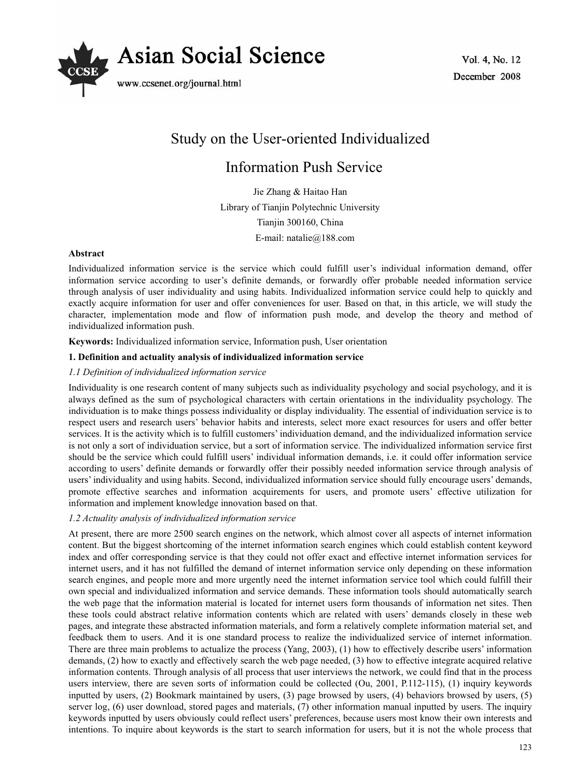

# Study on the User-oriented Individualized

# Information Push Service

Jie Zhang & Haitao Han Library of Tianjin Polytechnic University Tianjin 300160, China E-mail: natalie@188.com

# **Abstract**

Individualized information service is the service which could fulfill user's individual information demand, offer information service according to user's definite demands, or forwardly offer probable needed information service through analysis of user individuality and using habits. Individualized information service could help to quickly and exactly acquire information for user and offer conveniences for user. Based on that, in this article, we will study the character, implementation mode and flow of information push mode, and develop the theory and method of individualized information push.

**Keywords:** Individualized information service, Information push, User orientation

#### **1. Definition and actuality analysis of individualized information service**

#### *1.1 Definition of individualized information service*

Individuality is one research content of many subjects such as individuality psychology and social psychology, and it is always defined as the sum of psychological characters with certain orientations in the individuality psychology. The individuation is to make things possess individuality or display individuality. The essential of individuation service is to respect users and research users' behavior habits and interests, select more exact resources for users and offer better services. It is the activity which is to fulfill customers' individuation demand, and the individualized information service is not only a sort of individuation service, but a sort of information service. The individualized information service first should be the service which could fulfill users' individual information demands, i.e. it could offer information service according to users' definite demands or forwardly offer their possibly needed information service through analysis of users' individuality and using habits. Second, individualized information service should fully encourage users' demands, promote effective searches and information acquirements for users, and promote users' effective utilization for information and implement knowledge innovation based on that.

# *1.2 Actuality analysis of individualized information service*

At present, there are more 2500 search engines on the network, which almost cover all aspects of internet information content. But the biggest shortcoming of the internet information search engines which could establish content keyword index and offer corresponding service is that they could not offer exact and effective internet information services for internet users, and it has not fulfilled the demand of internet information service only depending on these information search engines, and people more and more urgently need the internet information service tool which could fulfill their own special and individualized information and service demands. These information tools should automatically search the web page that the information material is located for internet users form thousands of information net sites. Then these tools could abstract relative information contents which are related with users' demands closely in these web pages, and integrate these abstracted information materials, and form a relatively complete information material set, and feedback them to users. And it is one standard process to realize the individualized service of internet information. There are three main problems to actualize the process (Yang, 2003), (1) how to effectively describe users' information demands, (2) how to exactly and effectively search the web page needed, (3) how to effective integrate acquired relative information contents. Through analysis of all process that user interviews the network, we could find that in the process users interview, there are seven sorts of information could be collected (Ou, 2001, P.112-115), (1) inquiry keywords inputted by users, (2) Bookmark maintained by users, (3) page browsed by users, (4) behaviors browsed by users, (5) server log, (6) user download, stored pages and materials, (7) other information manual inputted by users. The inquiry keywords inputted by users obviously could reflect users' preferences, because users most know their own interests and intentions. To inquire about keywords is the start to search information for users, but it is not the whole process that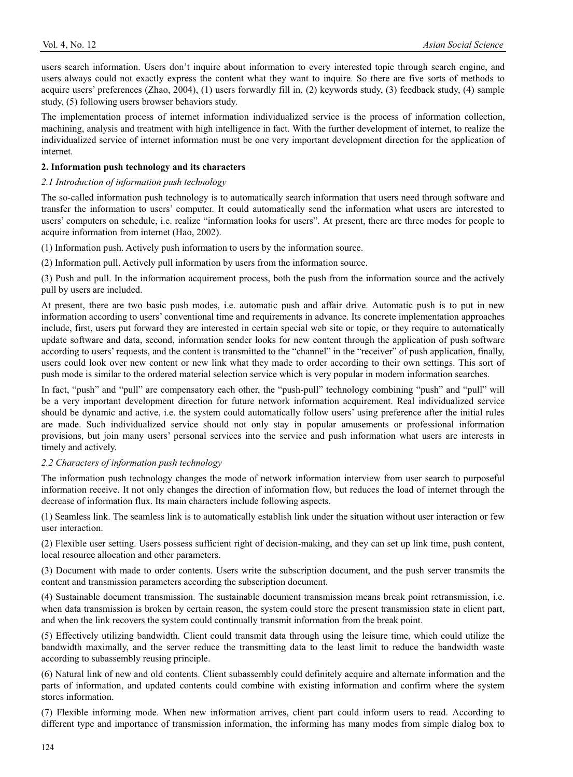users search information. Users don't inquire about information to every interested topic through search engine, and users always could not exactly express the content what they want to inquire. So there are five sorts of methods to acquire users' preferences (Zhao, 2004), (1) users forwardly fill in, (2) keywords study, (3) feedback study, (4) sample study, (5) following users browser behaviors study.

The implementation process of internet information individualized service is the process of information collection, machining, analysis and treatment with high intelligence in fact. With the further development of internet, to realize the individualized service of internet information must be one very important development direction for the application of internet.

# **2. Information push technology and its characters**

#### *2.1 Introduction of information push technology*

The so-called information push technology is to automatically search information that users need through software and transfer the information to users' computer. It could automatically send the information what users are interested to users' computers on schedule, i.e. realize "information looks for users". At present, there are three modes for people to acquire information from internet (Hao, 2002).

(1) Information push. Actively push information to users by the information source.

(2) Information pull. Actively pull information by users from the information source.

(3) Push and pull. In the information acquirement process, both the push from the information source and the actively pull by users are included.

At present, there are two basic push modes, i.e. automatic push and affair drive. Automatic push is to put in new information according to users' conventional time and requirements in advance. Its concrete implementation approaches include, first, users put forward they are interested in certain special web site or topic, or they require to automatically update software and data, second, information sender looks for new content through the application of push software according to users' requests, and the content is transmitted to the "channel" in the "receiver" of push application, finally, users could look over new content or new link what they made to order according to their own settings. This sort of push mode is similar to the ordered material selection service which is very popular in modern information searches.

In fact, "push" and "pull" are compensatory each other, the "push-pull" technology combining "push" and "pull" will be a very important development direction for future network information acquirement. Real individualized service should be dynamic and active, i.e. the system could automatically follow users' using preference after the initial rules are made. Such individualized service should not only stay in popular amusements or professional information provisions, but join many users' personal services into the service and push information what users are interests in timely and actively.

# *2.2 Characters of information push technology*

The information push technology changes the mode of network information interview from user search to purposeful information receive. It not only changes the direction of information flow, but reduces the load of internet through the decrease of information flux. Its main characters include following aspects.

(1) Seamless link. The seamless link is to automatically establish link under the situation without user interaction or few user interaction.

(2) Flexible user setting. Users possess sufficient right of decision-making, and they can set up link time, push content, local resource allocation and other parameters.

(3) Document with made to order contents. Users write the subscription document, and the push server transmits the content and transmission parameters according the subscription document.

(4) Sustainable document transmission. The sustainable document transmission means break point retransmission, i.e. when data transmission is broken by certain reason, the system could store the present transmission state in client part, and when the link recovers the system could continually transmit information from the break point.

(5) Effectively utilizing bandwidth. Client could transmit data through using the leisure time, which could utilize the bandwidth maximally, and the server reduce the transmitting data to the least limit to reduce the bandwidth waste according to subassembly reusing principle.

(6) Natural link of new and old contents. Client subassembly could definitely acquire and alternate information and the parts of information, and updated contents could combine with existing information and confirm where the system stores information.

(7) Flexible informing mode. When new information arrives, client part could inform users to read. According to different type and importance of transmission information, the informing has many modes from simple dialog box to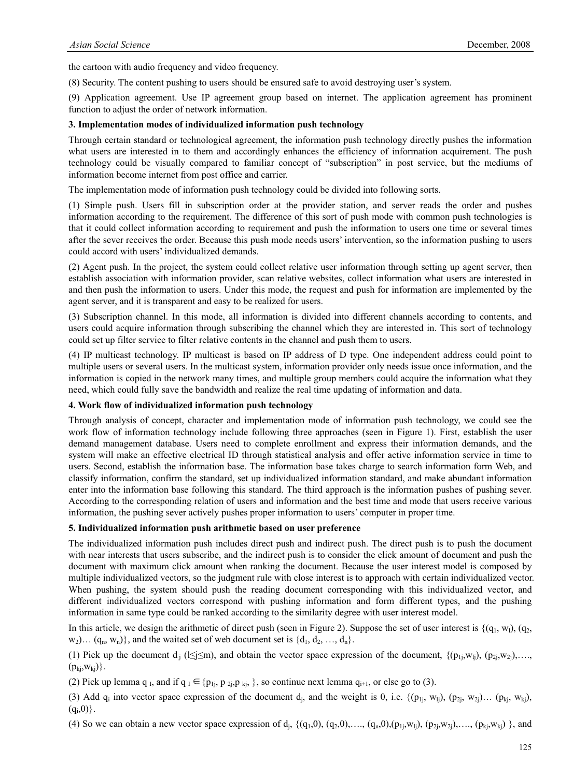the cartoon with audio frequency and video frequency.

(8) Security. The content pushing to users should be ensured safe to avoid destroying user's system.

(9) Application agreement. Use IP agreement group based on internet. The application agreement has prominent function to adjust the order of network information.

# **3. Implementation modes of individualized information push technology**

Through certain standard or technological agreement, the information push technology directly pushes the information what users are interested in to them and accordingly enhances the efficiency of information acquirement. The push technology could be visually compared to familiar concept of "subscription" in post service, but the mediums of information become internet from post office and carrier.

The implementation mode of information push technology could be divided into following sorts.

(1) Simple push. Users fill in subscription order at the provider station, and server reads the order and pushes information according to the requirement. The difference of this sort of push mode with common push technologies is that it could collect information according to requirement and push the information to users one time or several times after the sever receives the order. Because this push mode needs users' intervention, so the information pushing to users could accord with users' individualized demands.

(2) Agent push. In the project, the system could collect relative user information through setting up agent server, then establish association with information provider, scan relative websites, collect information what users are interested in and then push the information to users. Under this mode, the request and push for information are implemented by the agent server, and it is transparent and easy to be realized for users.

(3) Subscription channel. In this mode, all information is divided into different channels according to contents, and users could acquire information through subscribing the channel which they are interested in. This sort of technology could set up filter service to filter relative contents in the channel and push them to users.

(4) IP multicast technology. IP multicast is based on IP address of D type. One independent address could point to multiple users or several users. In the multicast system, information provider only needs issue once information, and the information is copied in the network many times, and multiple group members could acquire the information what they need, which could fully save the bandwidth and realize the real time updating of information and data.

#### **4. Work flow of individualized information push technology**

Through analysis of concept, character and implementation mode of information push technology, we could see the work flow of information technology include following three approaches (seen in Figure 1). First, establish the user demand management database. Users need to complete enrollment and express their information demands, and the system will make an effective electrical ID through statistical analysis and offer active information service in time to users. Second, establish the information base. The information base takes charge to search information form Web, and classify information, confirm the standard, set up individualized information standard, and make abundant information enter into the information base following this standard. The third approach is the information pushes of pushing sever. According to the corresponding relation of users and information and the best time and mode that users receive various information, the pushing sever actively pushes proper information to users' computer in proper time.

#### **5. Individualized information push arithmetic based on user preference**

The individualized information push includes direct push and indirect push. The direct push is to push the document with near interests that users subscribe, and the indirect push is to consider the click amount of document and push the document with maximum click amount when ranking the document. Because the user interest model is composed by multiple individualized vectors, so the judgment rule with close interest is to approach with certain individualized vector. When pushing, the system should push the reading document corresponding with this individualized vector, and different individualized vectors correspond with pushing information and form different types, and the pushing information in same type could be ranked according to the similarity degree with user interest model.

In this article, we design the arithmetic of direct push (seen in Figure 2). Suppose the set of user interest is  $\{(q_1, w_1), (q_2,$  $w_2$ )...  $(q_n, w_n)$ , and the waited set of web document set is  $\{d_1, d_2, ..., d_n\}$ .

(1) Pick up the document d<sub>i</sub> (l $\leq j \leq m$ ), and obtain the vector space expression of the document,  $\{(p_{1i},w_{1i}), (p_{2i},w_{2i}), \ldots, (p_{n,i})\}$  $(p_{ki}, w_{ki})$ .

(2) Pick up lemma q<sub>1</sub>, and if  $q_1 \in {p_{1j}, p_{2j}, p_{kj}, }$ , so continue next lemma  $q_{i+1}$ , or else go to (3).

(3) Add  $q_i$  into vector space expression of the document  $d_j$ , and the weight is 0, i.e.  $\{(p_{1j}, w_{ij}), (p_{2j}, w_{2j})\dots (p_{kj}, w_{kj})\}$  $(q_i, 0)$ .

(4) So we can obtain a new vector space expression of  $d_j$ ,  $\{(q_1,0), (q_2,0),..., (q_n,0), (p_{1j},w_{1j}), (p_{2j},w_{2j}),..., (p_{kj},w_{kj})\}$ , and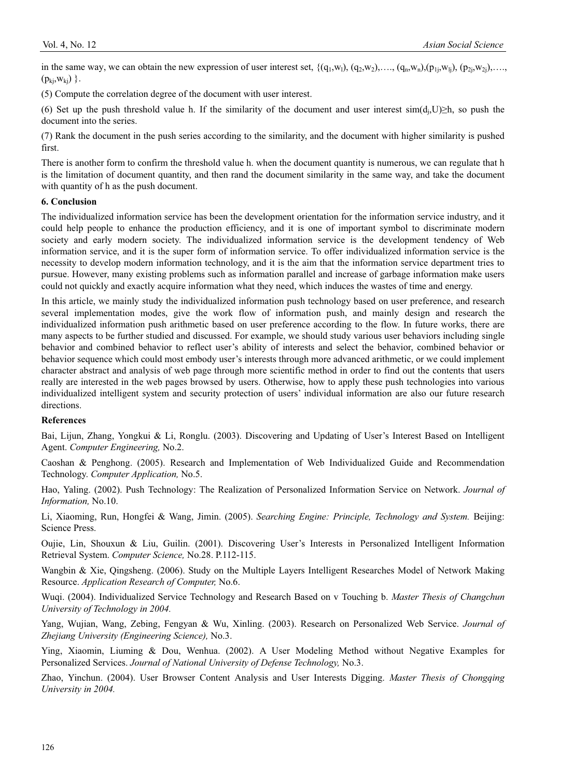in the same way, we can obtain the new expression of user interest set,  $\{(q_1, w_1), (q_2, w_2), \ldots, (q_n, w_n), (p_{1i}, w_{1i}), (p_{2i}, w_{2i}), \ldots, (p_n, w_n)\}$  $(p_{ki},w_{ki})$  }.

(5) Compute the correlation degree of the document with user interest.

(6) Set up the push threshold value h. If the similarity of the document and user interest sim( $d_i, U \geq h$ , so push the document into the series.

(7) Rank the document in the push series according to the similarity, and the document with higher similarity is pushed first.

There is another form to confirm the threshold value h. when the document quantity is numerous, we can regulate that h is the limitation of document quantity, and then rand the document similarity in the same way, and take the document with quantity of h as the push document.

# **6. Conclusion**

The individualized information service has been the development orientation for the information service industry, and it could help people to enhance the production efficiency, and it is one of important symbol to discriminate modern society and early modern society. The individualized information service is the development tendency of Web information service, and it is the super form of information service. To offer individualized information service is the necessity to develop modern information technology, and it is the aim that the information service department tries to pursue. However, many existing problems such as information parallel and increase of garbage information make users could not quickly and exactly acquire information what they need, which induces the wastes of time and energy.

In this article, we mainly study the individualized information push technology based on user preference, and research several implementation modes, give the work flow of information push, and mainly design and research the individualized information push arithmetic based on user preference according to the flow. In future works, there are many aspects to be further studied and discussed. For example, we should study various user behaviors including single behavior and combined behavior to reflect user's ability of interests and select the behavior, combined behavior or behavior sequence which could most embody user's interests through more advanced arithmetic, or we could implement character abstract and analysis of web page through more scientific method in order to find out the contents that users really are interested in the web pages browsed by users. Otherwise, how to apply these push technologies into various individualized intelligent system and security protection of users' individual information are also our future research directions.

#### **References**

Bai, Lijun, Zhang, Yongkui & Li, Ronglu. (2003). Discovering and Updating of User's Interest Based on Intelligent Agent. *Computer Engineering,* No.2.

Caoshan & Penghong. (2005). Research and Implementation of Web Individualized Guide and Recommendation Technology. *Computer Application,* No.5.

Hao, Yaling. (2002). Push Technology: The Realization of Personalized Information Service on Network. *Journal of Information,* No.10.

Li, Xiaoming, Run, Hongfei & Wang, Jimin. (2005). *Searching Engine: Principle, Technology and System.* Beijing: Science Press.

Oujie, Lin, Shouxun & Liu, Guilin. (2001). Discovering User's Interests in Personalized Intelligent Information Retrieval System. *Computer Science,* No.28. P.112-115.

Wangbin & Xie, Qingsheng. (2006). Study on the Multiple Layers Intelligent Researches Model of Network Making Resource. *Application Research of Computer,* No.6.

Wuqi. (2004). Individualized Service Technology and Research Based on v Touching b. *Master Thesis of Changchun University of Technology in 2004.*

Yang, Wujian, Wang, Zebing, Fengyan & Wu, Xinling. (2003). Research on Personalized Web Service. *Journal of Zhejiang University (Engineering Science),* No.3.

Ying, Xiaomin, Liuming & Dou, Wenhua. (2002). A User Modeling Method without Negative Examples for Personalized Services. *Journal of National University of Defense Technology,* No.3.

Zhao, Yinchun. (2004). User Browser Content Analysis and User Interests Digging. *Master Thesis of Chongqing University in 2004.*